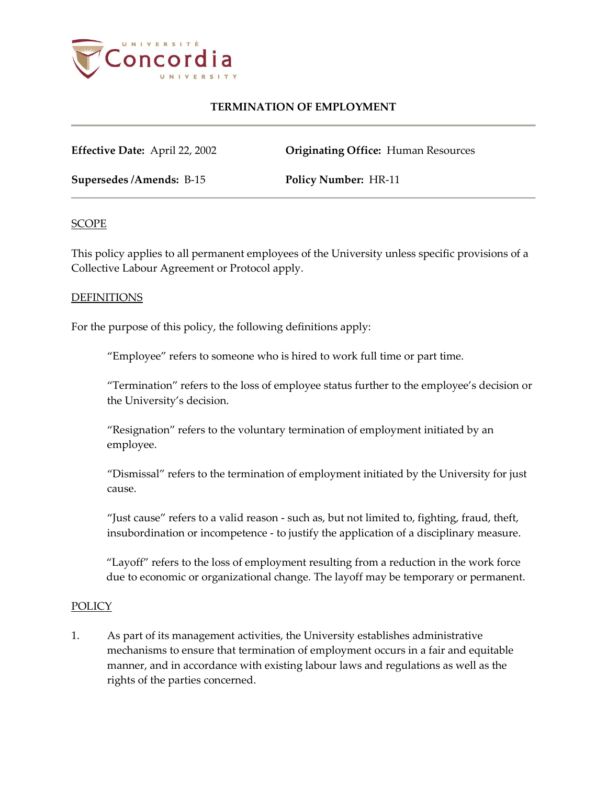

**Effective Date:** April 22, 2002 **Originating Office:** Human Resources

**Supersedes /Amends:** B-15 **Policy Number:** HR-11

### **SCOPE**

This policy applies to all permanent employees of the University unless specific provisions of a Collective Labour Agreement or Protocol apply.

### DEFINITIONS

For the purpose of this policy, the following definitions apply:

"Employee" refers to someone who is hired to work full time or part time.

"Termination" refers to the loss of employee status further to the employee's decision or the University's decision.

"Resignation" refers to the voluntary termination of employment initiated by an employee.

"Dismissal" refers to the termination of employment initiated by the University for just cause.

"Just cause" refers to a valid reason - such as, but not limited to, fighting, fraud, theft, insubordination or incompetence - to justify the application of a disciplinary measure.

"Layoff" refers to the loss of employment resulting from a reduction in the work force due to economic or organizational change*.* The layoff may be temporary or permanent.

#### POLICY

1. As part of its management activities, the University establishes administrative mechanisms to ensure that termination of employment occurs in a fair and equitable manner, and in accordance with existing labour laws and regulations as well as the rights of the parties concerned.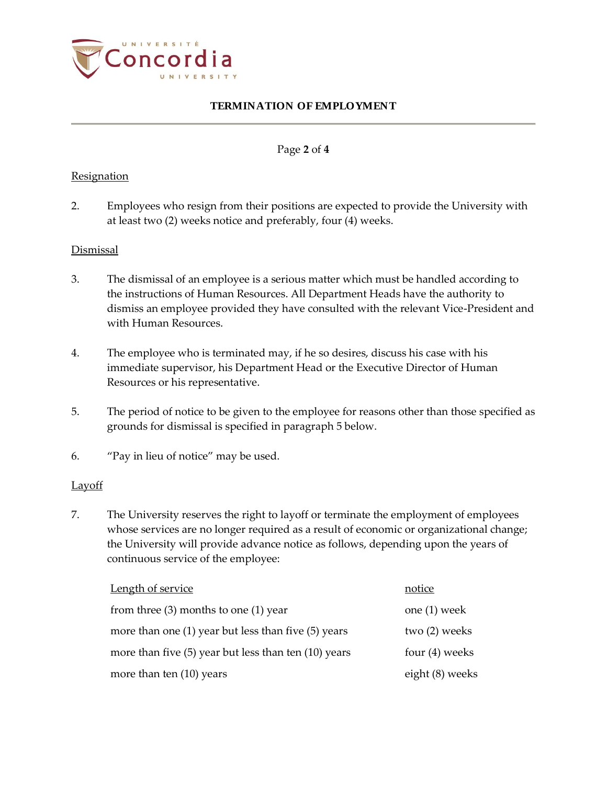

### Page **2** of **4**

### **Resignation**

2. Employees who resign from their positions are expected to provide the University with at least two (2) weeks notice and preferably, four (4) weeks.

### **Dismissal**

- 3. The dismissal of an employee is a serious matter which must be handled according to the instructions of Human Resources. All Department Heads have the authority to dismiss an employee provided they have consulted with the relevant Vice-President and with Human Resources.
- 4. The employee who is terminated may, if he so desires, discuss his case with his immediate supervisor, his Department Head or the Executive Director of Human Resources or his representative.
- 5. The period of notice to be given to the employee for reasons other than those specified as grounds for dismissal is specified in paragraph 5 below.
- 6. "Pay in lieu of notice" may be used.

### Layoff

7. The University reserves the right to layoff or terminate the employment of employees whose services are no longer required as a result of economic or organizational change; the University will provide advance notice as follows, depending upon the years of continuous service of the employee:

| Length of service                                        | notice           |
|----------------------------------------------------------|------------------|
| from three $(3)$ months to one $(1)$ year                | one $(1)$ week   |
| more than one $(1)$ year but less than five $(5)$ years  | two (2) weeks    |
| more than five $(5)$ year but less than ten $(10)$ years | four $(4)$ weeks |
| more than ten $(10)$ years                               | eight (8) weeks  |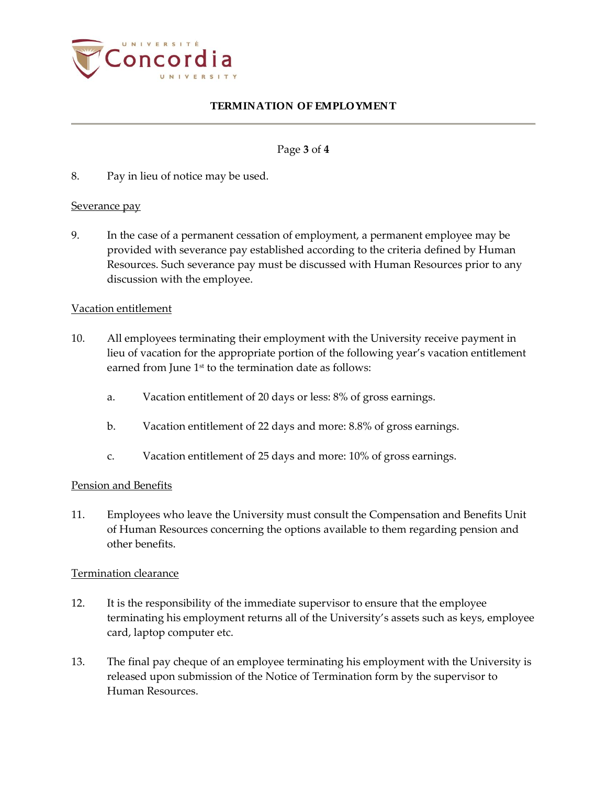

### Page **3** of **4**

8. Pay in lieu of notice may be used.

### Severance pay

9. In the case of a permanent cessation of employment, a permanent employee may be provided with severance pay established according to the criteria defined by Human Resources. Such severance pay must be discussed with Human Resources prior to any discussion with the employee.

### Vacation entitlement

- 10. All employees terminating their employment with the University receive payment in lieu of vacation for the appropriate portion of the following year's vacation entitlement earned from June 1<sup>st</sup> to the termination date as follows:
	- a. Vacation entitlement of 20 days or less: 8% of gross earnings.
	- b. Vacation entitlement of 22 days and more: 8.8% of gross earnings.
	- c. Vacation entitlement of 25 days and more: 10% of gross earnings.

#### Pension and Benefits

11. Employees who leave the University must consult the Compensation and Benefits Unit of Human Resources concerning the options available to them regarding pension and other benefits.

#### Termination clearance

- 12. It is the responsibility of the immediate supervisor to ensure that the employee terminating his employment returns all of the University's assets such as keys, employee card, laptop computer etc.
- 13. The final pay cheque of an employee terminating his employment with the University is released upon submission of the Notice of Termination form by the supervisor to Human Resources.